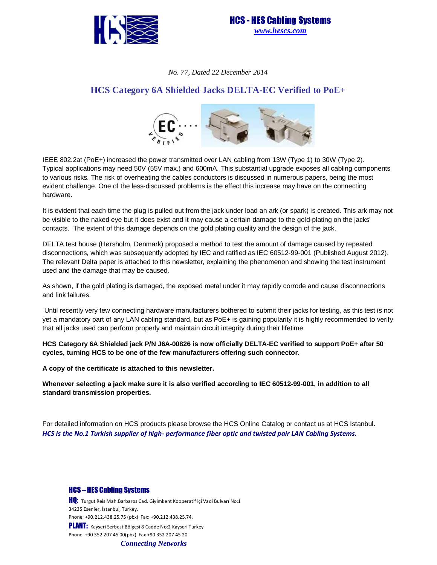



#### *No. 77, Dated 22 December 2014*

# **HCS Category 6A Shielded Jacks DELTA-EC Verified to PoE+**



IEEE 802.2at (PoE+) increased the power transmitted over LAN cabling from 13W (Type 1) to 30W (Type 2). Typical applications may need 50V (55V max.) and 600mA. This substantial upgrade exposes all cabling components to various risks. The risk of overheating the cables conductors is discussed in numerous papers, being the most evident challenge. One of the less-discussed problems is the effect this increase may have on the connecting hardware.

It is evident that each time the plug is pulled out from the jack under load an ark (or spark) is created. This ark may not be visible to the naked eye but it does exist and it may cause a certain damage to the gold-plating on the jacks' contacts. The extent of this damage depends on the gold plating quality and the design of the jack.

DELTA test house (Hørsholm, Denmark) proposed a method to test the amount of damage caused by repeated disconnections, which was subsequently adopted by IEC and ratified as IEC 60512-99-001 (Published August 2012). The relevant Delta paper is attached to this newsletter, explaining the phenomenon and showing the test instrument used and the damage that may be caused.

As shown, if the gold plating is damaged, the exposed metal under it may rapidly corrode and cause disconnections and link failures.

 Until recently very few connecting hardware manufacturers bothered to submit their jacks for testing, as this test is not yet a mandatory part of any LAN cabling standard, but as PoE+ is gaining popularity it is highly recommended to verify that all jacks used can perform properly and maintain circuit integrity during their lifetime.

**HCS Category 6A Shielded jack P/N J6A-00826 is now officially DELTA-EC verified to support PoE+ after 50 cycles, turning HCS to be one of the few manufacturers offering such connector.** 

**A copy of the certificate is attached to this newsletter.** 

**Whenever selecting a jack make sure it is also verified according to IEC 60512-99-001, in addition to all standard transmission properties.** 

For detailed information on HCS products please browse the HCS Online Catalog or contact us at HCS Istanbul. HCS is the No.1 Turkish supplier of high- performance fiber optic and twisted pair LAN Cabling Systems.

HCS – HES Cabling Systems

**HQ:** Turgut Reis Mah.Barbaros Cad. Giyimkent Kooperatif içi Vadi Bulvarı No:1 34235 Esenler, İstanbul, Turkey. Phone: +90.212.438.25.75 (pbx) Fax: +90.212.438.25.74. PLANT: Kayseri Serbest Bölgesi 8 Cadde No:2 Kayseri Turkey Phone +90 352 207 45 00(pbx) Fax +90 352 207 45 20 *Connecting Networks*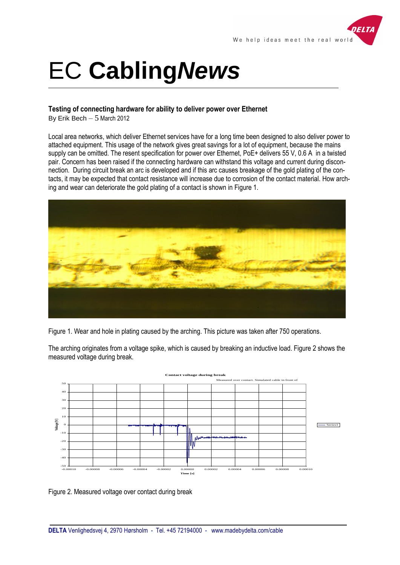

# EC **Cabling***News*

# **Testing of connecting hardware for ability to deliver power over Ethernet**

By Erik Bech  $-5$  March 2012

Local area networks, which deliver Ethernet services have for a long time been designed to also deliver power to attached equipment. This usage of the network gives great savings for a lot of equipment, because the mains supply can be omitted. The resent specification for power over Ethernet, PoE+ delivers 55 V, 0.6 A in a twisted pair. Concern has been raised if the connecting hardware can withstand this voltage and current during disconnection. During circuit break an arc is developed and if this arc causes breakage of the gold plating of the contacts, it may be expected that contact resistance will increase due to corrosion of the contact material. How arching and wear can deteriorate the gold plating of a contact is shown in Figure 1.



Figure 1. Wear and hole in plating caused by the arching. This picture was taken after 750 operations.

The arching originates from a voltage spike, which is caused by breaking an inductive load. Figure 2 shows the measured voltage during break.



Figure 2. Measured voltage over contact during break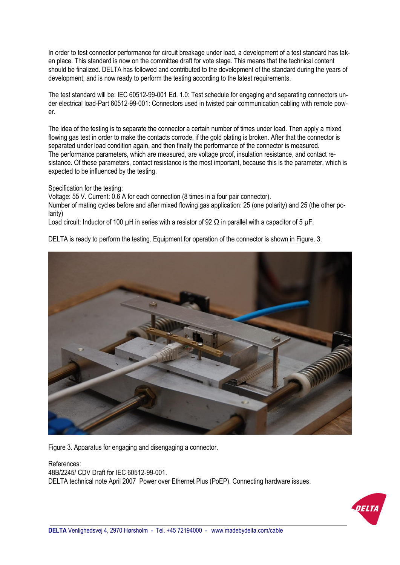In order to test connector performance for circuit breakage under load, a development of a test standard has taken place. This standard is now on the committee draft for vote stage. This means that the technical content should be finalized. DELTA has followed and contributed to the development of the standard during the years of development, and is now ready to perform the testing according to the latest requirements.

The test standard will be: IEC 60512-99-001 Ed. 1.0: Test schedule for engaging and separating connectors under electrical load-Part 60512-99-001: Connectors used in twisted pair communication cabling with remote power.

The idea of the testing is to separate the connector a certain number of times under load. Then apply a mixed flowing gas test in order to make the contacts corrode, if the gold plating is broken. After that the connector is separated under load condition again, and then finally the performance of the connector is measured. The performance parameters, which are measured, are voltage proof, insulation resistance, and contact resistance. Of these parameters, contact resistance is the most important, because this is the parameter, which is expected to be influenced by the testing.

Specification for the testing:

Voltage: 55 V. Current: 0.6 A for each connection (8 times in a four pair connector).

Number of mating cycles before and after mixed flowing gas application: 25 (one polarity) and 25 (the other polarity)

Load circuit: Inductor of 100 uH in series with a resistor of 92  $\Omega$  in parallel with a capacitor of 5 uF.

DELTA is ready to perform the testing. Equipment for operation of the connector is shown in Figure. 3.



Figure 3. Apparatus for engaging and disengaging a connector.

### References:

48B/2245/ CDV Draft for IEC 60512-99-001. DELTA technical note April 2007 Power over Ethernet Plus (PoEP). Connecting hardware issues.